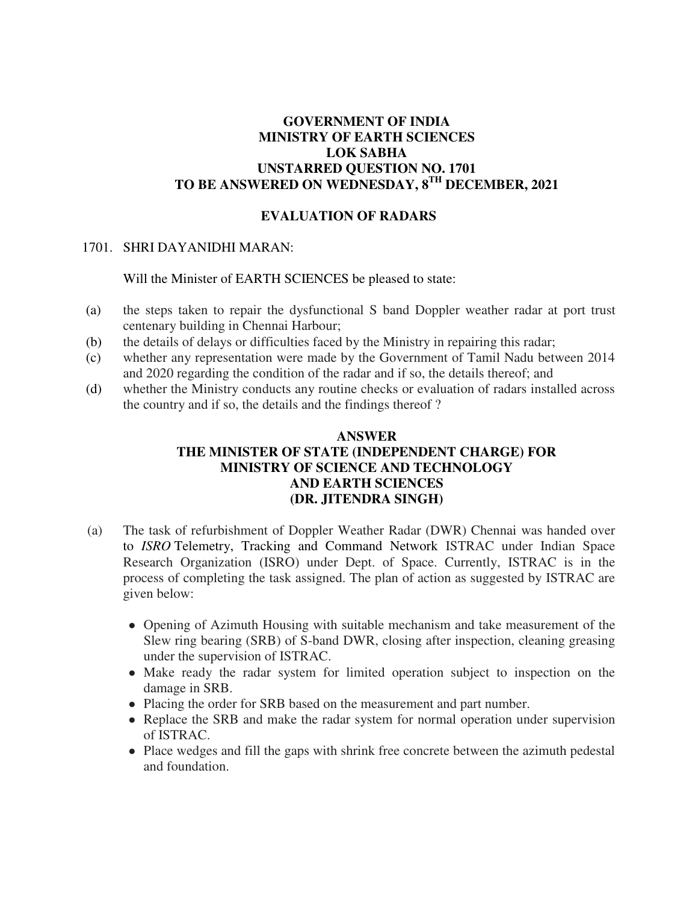## **GOVERNMENT OF INDIA MINISTRY OF EARTH SCIENCES LOK SABHA UNSTARRED QUESTION NO. 1701 TO BE ANSWERED ON WEDNESDAY, 8TH DECEMBER, 2021**

## **EVALUATION OF RADARS**

## 1701. SHRI DAYANIDHI MARAN:

Will the Minister of EARTH SCIENCES be pleased to state:

- (a) the steps taken to repair the dysfunctional S band Doppler weather radar at port trust centenary building in Chennai Harbour;
- (b) the details of delays or difficulties faced by the Ministry in repairing this radar;
- (c) whether any representation were made by the Government of Tamil Nadu between 2014 and 2020 regarding the condition of the radar and if so, the details thereof; and
- (d) whether the Ministry conducts any routine checks or evaluation of radars installed across the country and if so, the details and the findings thereof ?

## **ANSWER THE MINISTER OF STATE (INDEPENDENT CHARGE) FOR MINISTRY OF SCIENCE AND TECHNOLOGY AND EARTH SCIENCES (DR. JITENDRA SINGH)**

- (a) The task of refurbishment of Doppler Weather Radar (DWR) Chennai was handed over to *ISRO* Telemetry, Tracking and Command Network ISTRAC under Indian Space Research Organization (ISRO) under Dept. of Space. Currently, ISTRAC is in the process of completing the task assigned. The plan of action as suggested by ISTRAC are given below:
	- Opening of Azimuth Housing with suitable mechanism and take measurement of the Slew ring bearing (SRB) of S-band DWR, closing after inspection, cleaning greasing under the supervision of ISTRAC.
	- Make ready the radar system for limited operation subject to inspection on the damage in SRB.
	- Placing the order for SRB based on the measurement and part number.
	- Replace the SRB and make the radar system for normal operation under supervision of ISTRAC.
	- Place wedges and fill the gaps with shrink free concrete between the azimuth pedestal and foundation.